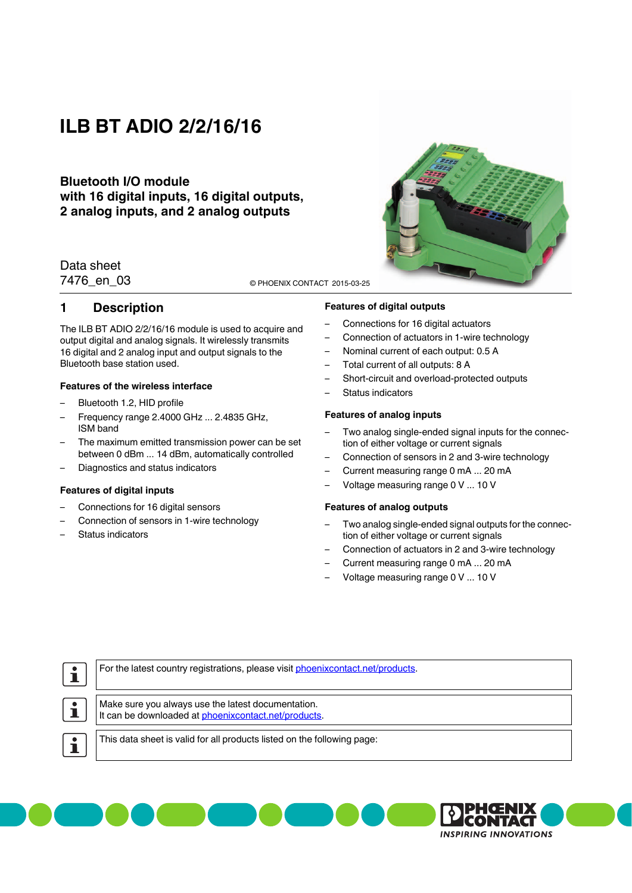# **ILB BT ADIO 2/2/16/16**

### **Bluetooth I/O module with 16 digital inputs, 16 digital outputs, 2 analog inputs, and 2 analog outputs**

### Data sheet

7476\_en\_03 © PHOENIX CONTACT 2015-03-25

### <span id="page-0-0"></span>**1 Description**

The ILB BT ADIO 2/2/16/16 module is used to acquire and output digital and analog signals. It wirelessly transmits 16 digital and 2 analog input and output signals to the Bluetooth base station used.

### **Features of the wireless interface**

- Bluetooth 1.2, HID profile
- Frequency range 2.4000 GHz ... 2.4835 GHz, ISM band
- The maximum emitted transmission power can be set between 0 dBm ... 14 dBm, automatically controlled
- Diagnostics and status indicators

#### **Features of digital inputs**

- Connections for 16 digital sensors
- Connection of sensors in 1-wire technology
- Status indicators

#### **Features of digital outputs**

- Connections for 16 digital actuators
- Connection of actuators in 1-wire technology
- Nominal current of each output: 0.5 A
- Total current of all outputs: 8 A
- Short-circuit and overload-protected outputs
- Status indicators

#### **Features of analog inputs**

- Two analog single-ended signal inputs for the connection of either voltage or current signals
- Connection of sensors in 2 and 3-wire technology
- Current measuring range 0 mA ... 20 mA
- Voltage measuring range 0 V ... 10 V

#### **Features of analog outputs**

– Two analog single-ended signal outputs for the connection of either voltage or current signals

> CONTAGI **INSPIRING INNOVATIONS**

- Connection of actuators in 2 and 3-wire technology
- Current measuring range 0 mA ... 20 mA
	- Voltage measuring range 0 V ... 10 V

| For the latest country registrations, please visit phoenixcontact.net/products.                            |  |
|------------------------------------------------------------------------------------------------------------|--|
| Make sure you always use the latest documentation.<br>It can be downloaded at phoenixcontact.net/products. |  |
| This data sheet is valid for all products listed on the following page:                                    |  |
|                                                                                                            |  |

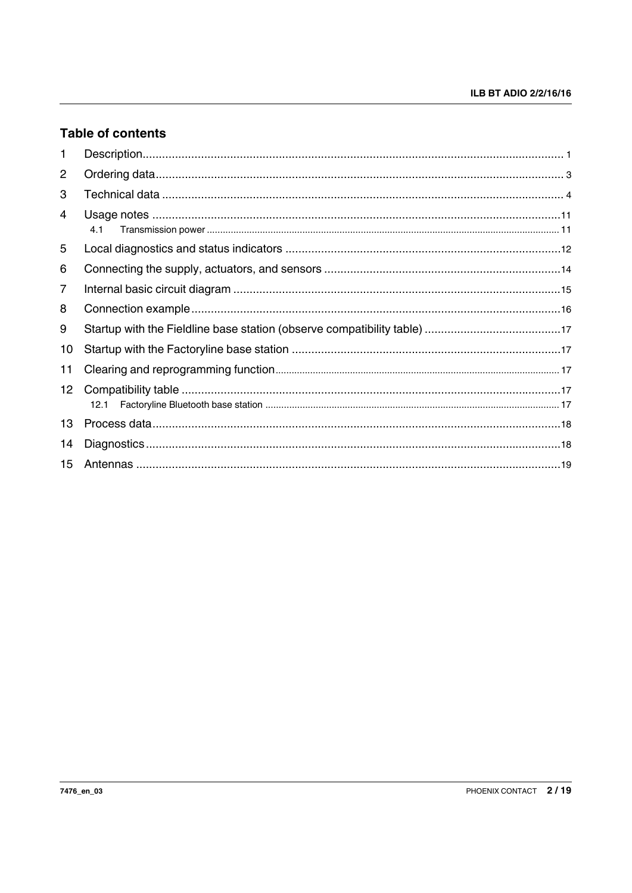## **Table of contents**

| 1              |      |
|----------------|------|
| $\overline{2}$ |      |
| 3              |      |
| 4              | 4.1  |
| 5              |      |
| 6              |      |
| $\overline{7}$ |      |
| 8              |      |
| 9              |      |
| 10             |      |
| 11             |      |
| 12             | 12.1 |
| 13             |      |
| 14             |      |
| 15             |      |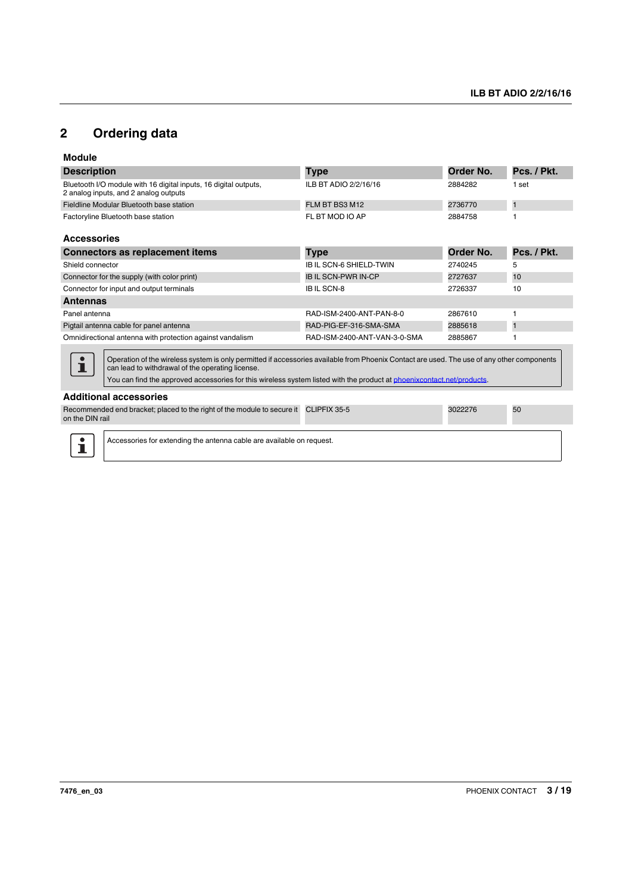## <span id="page-2-0"></span>**2 Ordering data**

| <b>Description</b>                                                                                                                                                                                                                                                                                                       | Type                           | Order No. | Pcs. / Pkt.  |
|--------------------------------------------------------------------------------------------------------------------------------------------------------------------------------------------------------------------------------------------------------------------------------------------------------------------------|--------------------------------|-----------|--------------|
| Bluetooth I/O module with 16 digital inputs, 16 digital outputs,<br>2 analog inputs, and 2 analog outputs                                                                                                                                                                                                                | ILB BT ADIO 2/2/16/16          | 2884282   | 1 set        |
| Fieldline Modular Bluetooth base station                                                                                                                                                                                                                                                                                 | FLM BT BS3 M12                 | 2736770   | 1            |
| Factoryline Bluetooth base station                                                                                                                                                                                                                                                                                       | FL BT MOD IO AP                | 2884758   |              |
| <b>Accessories</b>                                                                                                                                                                                                                                                                                                       |                                |           |              |
| <b>Connectors as replacement items</b>                                                                                                                                                                                                                                                                                   | Type                           | Order No. | Pcs. / Pkt.  |
| Shield connector                                                                                                                                                                                                                                                                                                         | <b>IB IL SCN-6 SHIELD-TWIN</b> | 2740245   | 5            |
| Connector for the supply (with color print)                                                                                                                                                                                                                                                                              | <b>IB IL SCN-PWR IN-CP</b>     | 2727637   | 10           |
| Connector for input and output terminals                                                                                                                                                                                                                                                                                 | IB IL SCN-8                    | 2726337   | 10           |
| <b>Antennas</b>                                                                                                                                                                                                                                                                                                          |                                |           |              |
| Panel antenna                                                                                                                                                                                                                                                                                                            | RAD-ISM-2400-ANT-PAN-8-0       | 2867610   | 1            |
| Pigtail antenna cable for panel antenna                                                                                                                                                                                                                                                                                  | RAD-PIG-EF-316-SMA-SMA         | 2885618   | $\mathbf{1}$ |
| Omnidirectional antenna with protection against vandalism                                                                                                                                                                                                                                                                | RAD-ISM-2400-ANT-VAN-3-0-SMA   | 2885867   |              |
| Operation of the wireless system is only permitted if accessories available from Phoenix Contact are used. The use of any other components<br>can lead to withdrawal of the operating license.<br>You can find the approved accessories for this wireless system listed with the product at phoenixcontact.net/products. |                                |           |              |
| <b>Additional accessories</b>                                                                                                                                                                                                                                                                                            |                                |           |              |
| Recommended end bracket; placed to the right of the module to secure it<br>on the DIN rail                                                                                                                                                                                                                               | CLIPFIX 35-5                   | 3022276   | 50           |
| Accessories for extending the antenna cable are available on request.                                                                                                                                                                                                                                                    |                                |           |              |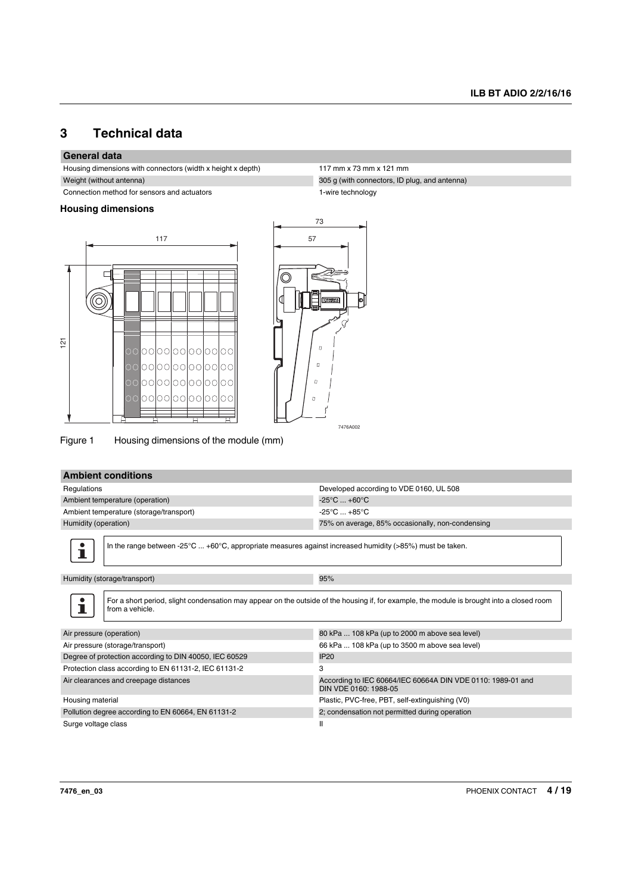## <span id="page-3-0"></span>**3 Technical data**

### **General data**

Housing dimensions with connectors (width x height x depth) 117 mm x 73 mm x 121 mm Weight (without antenna) 305 g (with connectors, ID plug, and antenna)

Connection method for sensors and actuators 1-wire technology

#### **Housing dimensions**





Figure 1 Housing dimensions of the module (mm)

### **Ambient conditions**

| Regulations                                                                                                                                                   | Developed according to VDE 0160, UL 508                                              |  |
|---------------------------------------------------------------------------------------------------------------------------------------------------------------|--------------------------------------------------------------------------------------|--|
| Ambient temperature (operation)                                                                                                                               | $-25^{\circ}$ C $+60^{\circ}$ C                                                      |  |
| Ambient temperature (storage/transport)                                                                                                                       | $-25^{\circ}$ C $+85^{\circ}$ C                                                      |  |
| Humidity (operation)                                                                                                                                          | 75% on average, 85% occasionally, non-condensing                                     |  |
|                                                                                                                                                               |                                                                                      |  |
| In the range between -25°C  +60°C, appropriate measures against increased humidity (>85%) must be taken.                                                      |                                                                                      |  |
| Humidity (storage/transport)<br>95%                                                                                                                           |                                                                                      |  |
| For a short period, slight condensation may appear on the outside of the housing if, for example, the module is brought into a closed room<br>from a vehicle. |                                                                                      |  |
| Air pressure (operation)                                                                                                                                      | 80 kPa  108 kPa (up to 2000 m above sea level)                                       |  |
| Air pressure (storage/transport)                                                                                                                              | 66 kPa  108 kPa (up to 3500 m above sea level)                                       |  |
| Degree of protection according to DIN 40050, IEC 60529                                                                                                        | <b>IP20</b>                                                                          |  |
| Protection class according to EN 61131-2, IEC 61131-2                                                                                                         | 3                                                                                    |  |
| Air clearances and creepage distances                                                                                                                         | According to IEC 60664/IEC 60664A DIN VDE 0110: 1989-01 and<br>DIN VDE 0160: 1988-05 |  |
| Housing material                                                                                                                                              | Plastic, PVC-free, PBT, self-extinguishing (V0)                                      |  |
| Pollution degree according to EN 60664, EN 61131-2                                                                                                            | 2; condensation not permitted during operation                                       |  |
| Surge voltage class                                                                                                                                           | Ш                                                                                    |  |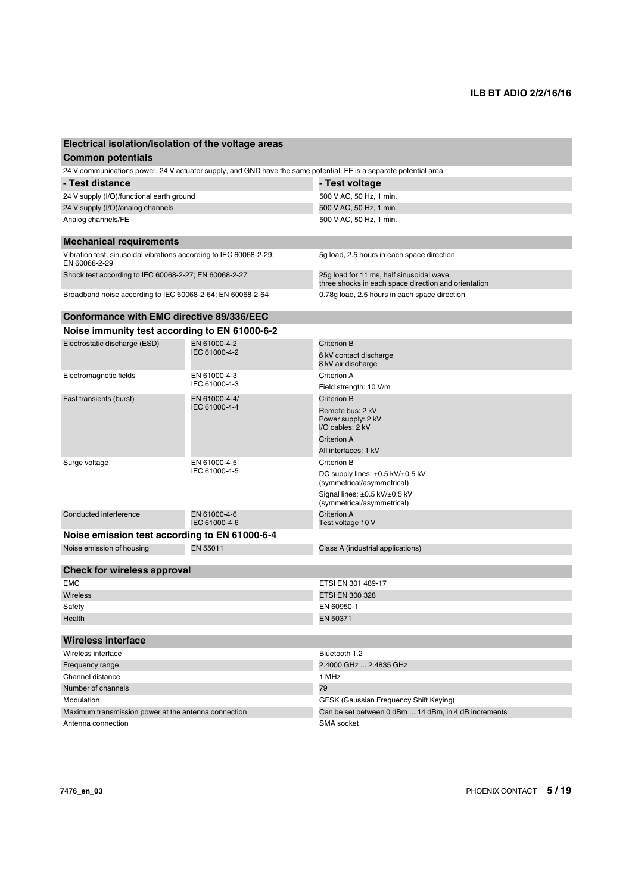| Electrical isolation/isolation of the voltage areas                                                                |               |                                                                                                   |  |
|--------------------------------------------------------------------------------------------------------------------|---------------|---------------------------------------------------------------------------------------------------|--|
| <b>Common potentials</b>                                                                                           |               |                                                                                                   |  |
| 24 V communications power, 24 V actuator supply, and GND have the same potential. FE is a separate potential area. |               |                                                                                                   |  |
| - Test distance                                                                                                    |               | - Test voltage                                                                                    |  |
| 24 V supply (I/O)/functional earth ground                                                                          |               | 500 V AC, 50 Hz, 1 min.                                                                           |  |
| 24 V supply (I/O)/analog channels                                                                                  |               | 500 V AC, 50 Hz, 1 min.                                                                           |  |
| Analog channels/FE                                                                                                 |               | 500 V AC, 50 Hz, 1 min.                                                                           |  |
| <b>Mechanical requirements</b>                                                                                     |               |                                                                                                   |  |
| Vibration test, sinusoidal vibrations according to IEC 60068-2-29;<br>EN 60068-2-29                                |               | 5g load, 2.5 hours in each space direction                                                        |  |
| Shock test according to IEC 60068-2-27; EN 60068-2-27                                                              |               | 25g load for 11 ms, half sinusoidal wave,<br>three shocks in each space direction and orientation |  |
| Broadband noise according to IEC 60068-2-64; EN 60068-2-64                                                         |               | 0.78g load, 2.5 hours in each space direction                                                     |  |
| Conformance with EMC directive 89/336/EEC                                                                          |               |                                                                                                   |  |
| Noise immunity test according to EN 61000-6-2                                                                      |               |                                                                                                   |  |
| Electrostatic discharge (ESD)                                                                                      | EN 61000-4-2  | Criterion B                                                                                       |  |
|                                                                                                                    | IEC 61000-4-2 | 6 kV contact discharge<br>8 kV air discharge                                                      |  |
| Electromagnetic fields                                                                                             | EN 61000-4-3  | Criterion A                                                                                       |  |
|                                                                                                                    | IEC 61000-4-3 | Field strength: 10 V/m                                                                            |  |

|                                               | IEC 61000-4-3                  | Field strength: 10 V/m                                                    |  |
|-----------------------------------------------|--------------------------------|---------------------------------------------------------------------------|--|
| Fast transients (burst)                       | EN 61000-4-4/<br>IEC 61000-4-4 | Criterion B                                                               |  |
|                                               |                                | Remote bus: 2 kV<br>Power supply: 2 kV<br>I/O cables: 2 kV                |  |
|                                               |                                | <b>Criterion A</b>                                                        |  |
|                                               |                                | All interfaces: 1 kV                                                      |  |
| Surge voltage                                 | EN 61000-4-5                   | Criterion B                                                               |  |
|                                               | IEC 61000-4-5                  | DC supply lines: $\pm 0.5$ kV/ $\pm 0.5$ kV<br>(symmetrical/asymmetrical) |  |
|                                               |                                | Signal lines: $\pm 0.5$ kV/ $\pm 0.5$ kV<br>(symmetrical/asymmetrical)    |  |
| Conducted interference                        | EN 61000-4-6<br>IEC 61000-4-6  | Criterion A<br>Test voltage 10 V                                          |  |
| Noise emission test according to EN 61000-6-4 |                                |                                                                           |  |
| Noise emission of housing                     | EN 55011                       | Class A (industrial applications)                                         |  |
|                                               |                                |                                                                           |  |
| Check for wireless approval                   |                                |                                                                           |  |
| <b>EMC</b>                                    |                                | ETSI EN 301 489-17                                                        |  |

| Wireless                                             | ETSI EN 300 328                                      |
|------------------------------------------------------|------------------------------------------------------|
| Safety                                               | EN 60950-1                                           |
| Health                                               | EN 50371                                             |
|                                                      |                                                      |
| Wireless interface                                   |                                                      |
| Wireless interface                                   | Bluetooth 1.2                                        |
| Frequency range                                      | 2.4000 GHz  2.4835 GHz                               |
| Channel distance                                     | 1 MHz                                                |
| Number of channels                                   | 79                                                   |
| Modulation                                           | GFSK (Gaussian Frequency Shift Keying)               |
| Maximum transmission power at the antenna connection | Can be set between 0 dBm  14 dBm, in 4 dB increments |

Antenna connection SMA socket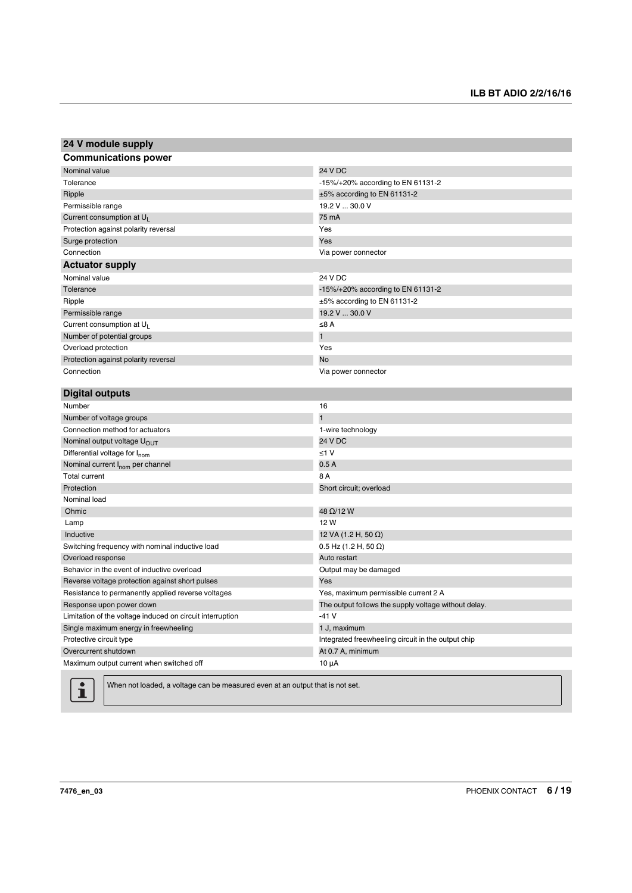| 24 V module supply                                        |                                                      |
|-----------------------------------------------------------|------------------------------------------------------|
| <b>Communications power</b>                               |                                                      |
| Nominal value                                             | 24 V DC                                              |
| Tolerance                                                 | -15%/+20% according to EN 61131-2                    |
| Ripple                                                    | $±5\%$ according to EN 61131-2                       |
| Permissible range                                         | 19.2 V  30.0 V                                       |
| Current consumption at $U_1$                              | 75 mA                                                |
| Protection against polarity reversal                      | Yes                                                  |
| Surge protection                                          | Yes                                                  |
| Connection                                                | Via power connector                                  |
| <b>Actuator supply</b>                                    |                                                      |
| Nominal value                                             | 24 V DC                                              |
| Tolerance                                                 | -15%/+20% according to EN 61131-2                    |
| Ripple                                                    | ±5% according to EN 61131-2                          |
| Permissible range                                         | 19.2 V  30.0 V                                       |
| Current consumption at $U_L$                              | ≤ $8A$                                               |
| Number of potential groups                                | $\overline{1}$                                       |
| Overload protection                                       | Yes                                                  |
| Protection against polarity reversal                      | <b>No</b>                                            |
| Connection                                                | Via power connector                                  |
|                                                           |                                                      |
| <b>Digital outputs</b>                                    |                                                      |
| Number                                                    | 16                                                   |
| Number of voltage groups                                  | $\mathbf{1}$                                         |
| Connection method for actuators                           | 1-wire technology                                    |
| Nominal output voltage U <sub>OUT</sub>                   | 24 V DC                                              |
| Differential voltage for I <sub>nom</sub>                 | $\leq 1$ V                                           |
| Nominal current I <sub>nom</sub> per channel              | 0.5A                                                 |
| <b>Total current</b>                                      | 8 A                                                  |
| Protection                                                | Short circuit; overload                              |
| Nominal load                                              |                                                      |
| Ohmic                                                     | 48 Ω/12 W                                            |
| Lamp                                                      | 12 W                                                 |
| Inductive                                                 | 12 VA (1.2 H, 50 $\Omega$ )                          |
| Switching frequency with nominal inductive load           | $0.5$ Hz (1.2 H, 50 $\Omega$ )                       |
| Overload response                                         | Auto restart                                         |
| Behavior in the event of inductive overload               | Output may be damaged                                |
| Reverse voltage protection against short pulses           | Yes                                                  |
| Resistance to permanently applied reverse voltages        | Yes, maximum permissible current 2 A                 |
| Response upon power down                                  | The output follows the supply voltage without delay. |
| Limitation of the voltage induced on circuit interruption | $-41V$                                               |
| Single maximum energy in freewheeling                     | 1 J, maximum                                         |
| Protective circuit type                                   | Integrated freewheeling circuit in the output chip   |
| Overcurrent shutdown                                      | At 0.7 A, minimum                                    |
| Maximum output current when switched off                  | $10 \mu A$                                           |
|                                                           |                                                      |



When not loaded, a voltage can be measured even at an output that is not set.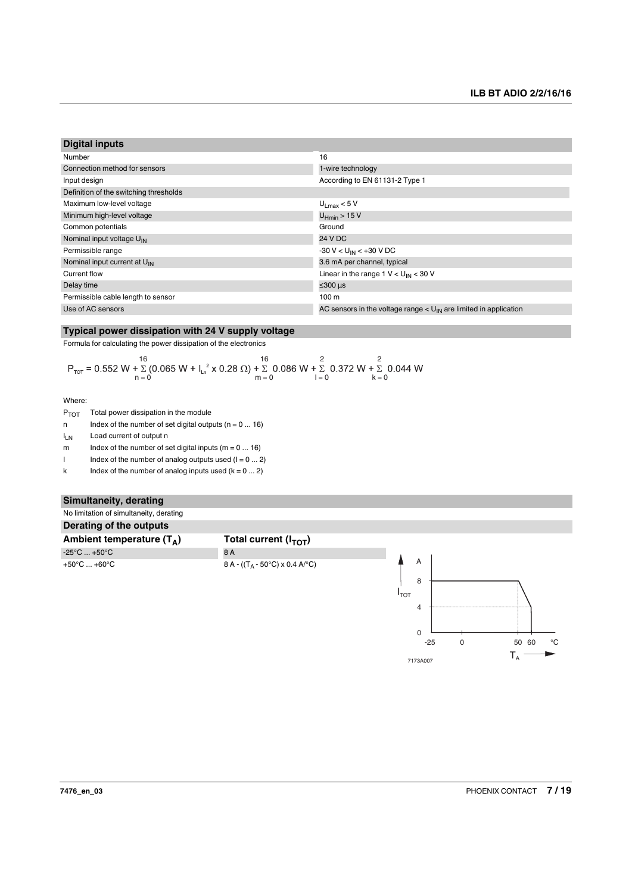| <b>Digital inputs</b>                    |                                                                              |
|------------------------------------------|------------------------------------------------------------------------------|
| Number                                   | 16                                                                           |
| Connection method for sensors            | 1-wire technology                                                            |
| Input design                             | According to EN 61131-2 Type 1                                               |
| Definition of the switching thresholds   |                                                                              |
| Maximum low-level voltage                | $U_{\text{I max}}$ < 5 V                                                     |
| Minimum high-level voltage               | $U_{Hmin}$ > 15 V                                                            |
| Common potentials                        | Ground                                                                       |
| Nominal input voltage U <sub>IN</sub>    | 24 V DC                                                                      |
| Permissible range                        | -30 V < U <sub>IN</sub> < +30 V DC                                           |
| Nominal input current at U <sub>IN</sub> | 3.6 mA per channel, typical                                                  |
| Current flow                             | Linear in the range $1 \text{ V} < U_{\text{IN}} < 30 \text{ V}$             |
| Delay time                               | ≤ $300 \mu s$                                                                |
| Permissible cable length to sensor       | 100 <sub>m</sub>                                                             |
| Use of AC sensors                        | AC sensors in the voltage range $< U_{\text{IN}}$ are limited in application |

#### **Typical power dissipation with 24 V supply voltage**

Formula for calculating the power dissipation of the electronics

$$
P_{\text{tot}} = 0.552 \text{ W} + \sum_{n=0}^{16} (0.065 \text{ W} + I_{\text{ln}}^2 \times 0.28 \ \Omega) + \sum_{m=0}^{16} 0.086 \text{ W} + \sum_{l=0}^{2} 0.372 \text{ W} + \sum_{k=0}^{2} 0.044 \text{ W}
$$

Where:

| $P_{TOT}$ | Total power dissipation in the module |
|-----------|---------------------------------------|
|           |                                       |

n Index of the number of set digital outputs  $(n = 0 ... 16)$ 

I<sub>LN</sub> Load current of output n

m Index of the number of set digital inputs  $(m = 0 ... 16)$ 

I Index of the number of analog outputs used  $(I = 0 ... 2)$ 

k Index of the number of analog inputs used  $(k = 0 ... 2)$ 

#### **Simultaneity, derating**



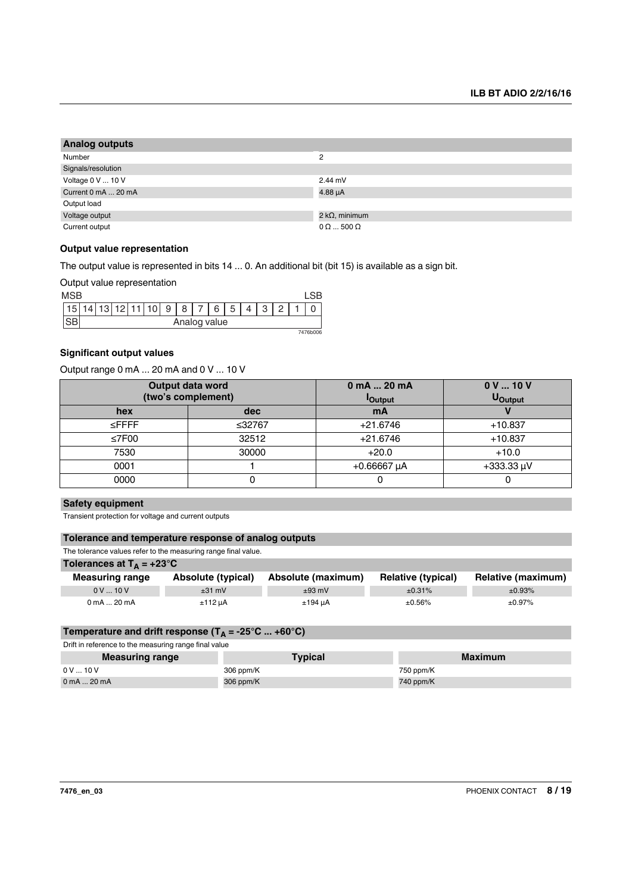| <b>Analog outputs</b> |                         |  |
|-----------------------|-------------------------|--|
| Number                | $\overline{2}$          |  |
| Signals/resolution    |                         |  |
| Voltage 0 V  10 V     | $2.44$ mV               |  |
| Current 0 mA  20 mA   | $4.88 \mu A$            |  |
| Output load           |                         |  |
| Voltage output        | 2 k $\Omega$ , minimum  |  |
| Current output        | $0 \Omega$ 500 $\Omega$ |  |

#### **Output value representation**

The output value is represented in bits 14 ... 0. An additional bit (bit 15) is available as a sign bit.

Output value representation

| <b>MSB</b> |              |  |  |  |                |   |   |   |   |   |   |        |  |  |
|------------|--------------|--|--|--|----------------|---|---|---|---|---|---|--------|--|--|
|            |              |  |  |  | $\overline{ }$ | 9 | 8 | ⇁ | 6 | 5 | C | $\sim$ |  |  |
|            | Analog value |  |  |  |                |   |   |   |   |   |   |        |  |  |
| 7476b006   |              |  |  |  |                |   |   |   |   |   |   |        |  |  |

#### **Significant output values**

Output range 0 mA ... 20 mA and 0 V ... 10 V

|             | Output data word   | 0 mA  20 mA     | 0V10V           |  |  |
|-------------|--------------------|-----------------|-----------------|--|--|
|             | (two's complement) | <b>l</b> Output | <b>U</b> Output |  |  |
| hex         | dec                | mA              |                 |  |  |
| $\leq$ FFFF | ≤32767             | $+21.6746$      | $+10.837$       |  |  |
| ≤7F00       | 32512              | $+21.6746$      | $+10.837$       |  |  |
| 7530        | 30000              | $+20.0$         | $+10.0$         |  |  |
| 0001        |                    | $+0.66667$ µA   | $+333.33 \mu V$ |  |  |
| 0000        |                    |                 |                 |  |  |

#### **Safety equipment**

Transient protection for voltage and current outputs

#### **Tolerance and temperature response of analog outputs**

The tolerance values refer to the measuring range final value.

| Tolerances at $T_A = +23^{\circ}C$ |                    |                    |                           |                    |
|------------------------------------|--------------------|--------------------|---------------------------|--------------------|
| <b>Measuring range</b>             | Absolute (typical) | Absolute (maximum) | <b>Relative (typical)</b> | Relative (maximum) |
| $0 V_{\dots} 10 V$                 | $±31$ mV           | $±93$ mV           | ±0.31%                    | ±0.93%             |
| 0 mA  20 mA                        | $±112 \mu A$       | ±194 uA            | ±0.56%                    | ±0.97%             |

#### Temperature and drift response  $(T_A = -25^{\circ}C ... +60^{\circ}C)$

Drift in reference to the measuring range final value

| <b>Measuring range</b> | <b>Typical</b> | <b>Maximum</b> |
|------------------------|----------------|----------------|
| 0V10V                  | 306 ppm/K      | 750 ppm/K      |
| $0$ mA $\dots$ 20 mA   | 306 ppm/K      | 740 ppm/K      |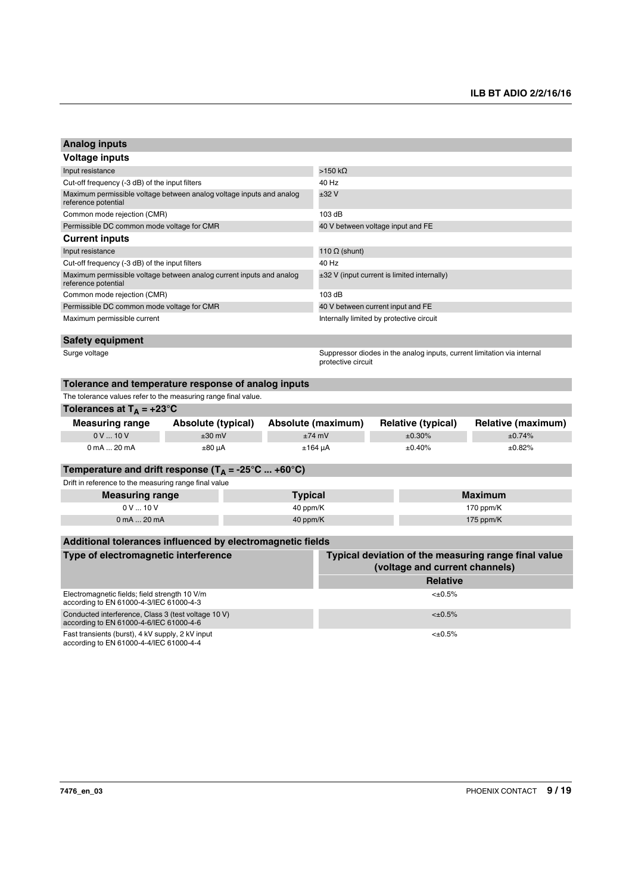| <b>Analog inputs</b>                                                                           |                    |                |                                                                                               |                           |              |                    |  |  |
|------------------------------------------------------------------------------------------------|--------------------|----------------|-----------------------------------------------------------------------------------------------|---------------------------|--------------|--------------------|--|--|
| Voltage inputs                                                                                 |                    |                |                                                                                               |                           |              |                    |  |  |
| Input resistance                                                                               |                    |                | $>150$ kΩ                                                                                     |                           |              |                    |  |  |
| Cut-off frequency (-3 dB) of the input filters                                                 |                    |                | 40 Hz                                                                                         |                           |              |                    |  |  |
| Maximum permissible voltage between analog voltage inputs and analog<br>reference potential    |                    |                | ±32V                                                                                          |                           |              |                    |  |  |
| Common mode rejection (CMR)                                                                    |                    |                | 103 dB                                                                                        |                           |              |                    |  |  |
| Permissible DC common mode voltage for CMR                                                     |                    |                | 40 V between voltage input and FE                                                             |                           |              |                    |  |  |
| <b>Current inputs</b>                                                                          |                    |                |                                                                                               |                           |              |                    |  |  |
| Input resistance                                                                               |                    |                | 110 $\Omega$ (shunt)                                                                          |                           |              |                    |  |  |
| Cut-off frequency (-3 dB) of the input filters                                                 |                    |                | 40 Hz                                                                                         |                           |              |                    |  |  |
| Maximum permissible voltage between analog current inputs and analog<br>reference potential    |                    |                | $\pm 32$ V (input current is limited internally)                                              |                           |              |                    |  |  |
| Common mode rejection (CMR)                                                                    |                    |                | 103 dB                                                                                        |                           |              |                    |  |  |
| Permissible DC common mode voltage for CMR                                                     |                    |                | 40 V between current input and FE                                                             |                           |              |                    |  |  |
| Maximum permissible current                                                                    |                    |                | Internally limited by protective circuit                                                      |                           |              |                    |  |  |
| <b>Safety equipment</b>                                                                        |                    |                |                                                                                               |                           |              |                    |  |  |
| Surge voltage                                                                                  |                    |                | Suppressor diodes in the analog inputs, current limitation via internal<br>protective circuit |                           |              |                    |  |  |
| Tolerance and temperature response of analog inputs                                            |                    |                |                                                                                               |                           |              |                    |  |  |
| The tolerance values refer to the measuring range final value.                                 |                    |                |                                                                                               |                           |              |                    |  |  |
| Tolerances at $T_A = +23^\circ C$                                                              |                    |                |                                                                                               |                           |              |                    |  |  |
| <b>Measuring range</b>                                                                         | Absolute (typical) |                | Absolute (maximum)                                                                            | <b>Relative (typical)</b> |              | Relative (maximum) |  |  |
| 0V10V                                                                                          | $±30$ mV           |                | $±74$ mV                                                                                      | ±0.30%                    |              | ±0.74%             |  |  |
| 0 mA  20 mA                                                                                    | $±80 \mu A$        |                | $±164 \mu A$                                                                                  | ±0.40%                    |              | ±0.82%             |  |  |
| Temperature and drift response ( $T_A = -25^{\circ}C  +60^{\circ}C$ )                          |                    |                |                                                                                               |                           |              |                    |  |  |
| Drift in reference to the measuring range final value                                          |                    |                |                                                                                               |                           |              |                    |  |  |
| <b>Measuring range</b>                                                                         |                    | <b>Typical</b> |                                                                                               |                           |              | Maximum            |  |  |
| 0V10V                                                                                          |                    | 40 ppm/K       |                                                                                               |                           |              | 170 ppm/K          |  |  |
| 0 mA  20 mA                                                                                    |                    | 40 ppm/K       |                                                                                               |                           |              | 175 ppm/K          |  |  |
|                                                                                                |                    |                |                                                                                               |                           |              |                    |  |  |
| Additional tolerances influenced by electromagnetic fields                                     |                    |                |                                                                                               |                           |              |                    |  |  |
| Type of electromagnetic interference                                                           |                    |                | Typical deviation of the measuring range final value<br>(voltage and current channels)        |                           |              |                    |  |  |
|                                                                                                |                    |                |                                                                                               |                           | Relative     |                    |  |  |
| Electromagnetic fields; field strength 10 V/m<br>according to EN 61000-4-3/IEC 61000-4-3       |                    |                |                                                                                               |                           | $<\pm 0.5\%$ |                    |  |  |
| Conducted interference, Class 3 (test voltage 10 V)<br>according to EN 61000-4-6/IEC 61000-4-6 |                    |                | $<\pm 0.5\%$                                                                                  |                           |              |                    |  |  |
| Fast transients (burst), 4 kV supply, 2 kV input<br>according to EN 61000-4-4/IEC 61000-4-4    |                    |                |                                                                                               |                           | $<\pm 0.5\%$ |                    |  |  |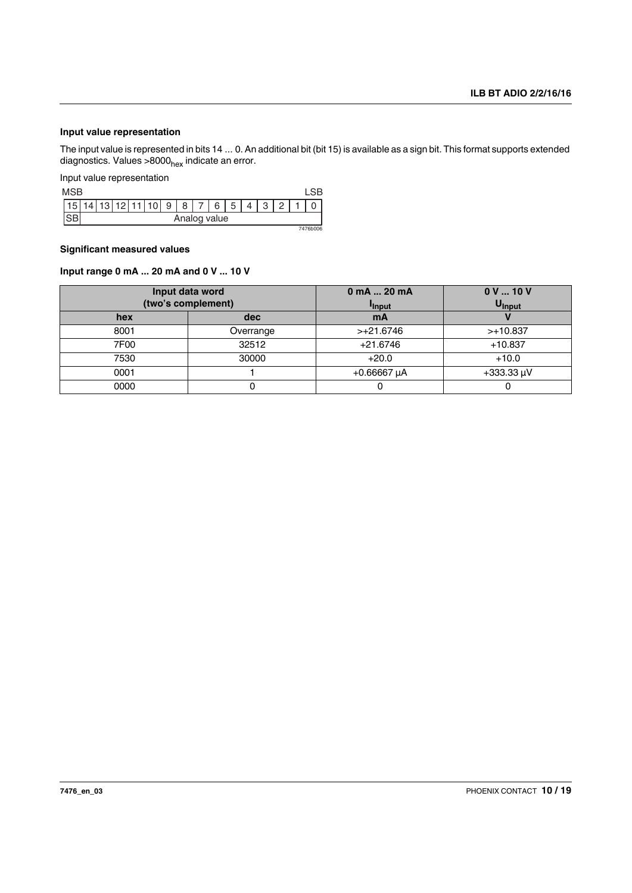### **Input value representation**

The input value is represented in bits 14 ... 0. An additional bit (bit 15) is available as a sign bit. This format supports extended diagnostics. Values >8000<sub>hex</sub> indicate an error.

Input value representation

| <b>MSB</b> |              |  |  |    |   |   |   |   |   |   |  |          |
|------------|--------------|--|--|----|---|---|---|---|---|---|--|----------|
|            |              |  |  | 10 | 9 | 8 | ⇁ | 6 | 5 | C |  |          |
|            | Analog value |  |  |    |   |   |   |   |   |   |  |          |
|            |              |  |  |    |   |   |   |   |   |   |  | 7476b006 |

#### **Significant measured values**

#### **Input range 0 mA ... 20 mA and 0 V ... 10 V**

|      | Input data word<br>(two's complement) | $0 \text{ mA}$ 20 mA<br><sup>I</sup> Input | 0V10V<br>U <sub>Input</sub> |  |  |
|------|---------------------------------------|--------------------------------------------|-----------------------------|--|--|
| hex  | dec                                   | mA                                         |                             |  |  |
| 8001 | Overrange                             | $>+21.6746$                                | $>+10.837$                  |  |  |
| 7F00 | 32512                                 | $+21.6746$                                 | $+10.837$                   |  |  |
| 7530 | 30000                                 | $+20.0$                                    | $+10.0$                     |  |  |
| 0001 |                                       | $+0.66667 \mu A$                           | $+333.33 \mu V$             |  |  |
| 0000 | U                                     |                                            |                             |  |  |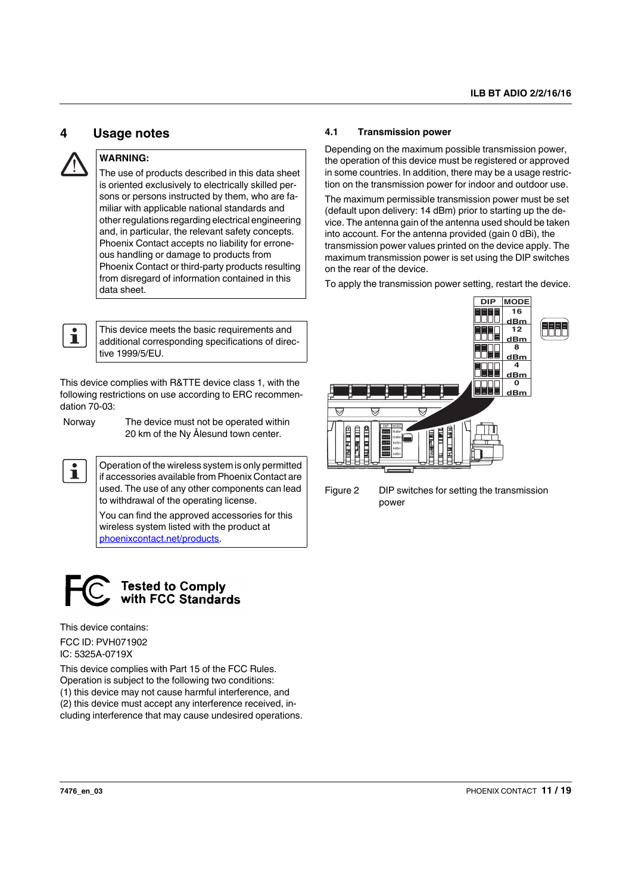### <span id="page-10-0"></span>**4 Usage notes**



### **WARNING:**

The use of products described in this data sheet is oriented exclusively to electrically skilled persons or persons instructed by them, who are familiar with applicable national standards and other regulations regarding electrical engineering and, in particular, the relevant safety concepts. Phoenix Contact accepts no liability for erroneous handling or damage to products from Phoenix Contact or third-party products resulting from disregard of information contained in this data sheet.



This device meets the basic requirements and additional corresponding specifications of directive 1999/5/EU.

This device complies with R&TTE device class 1, with the following restrictions on use according to ERC recommendation 70-03:

 $\mathbf i$ 

Norway The device must not be operated within 20 km of the Ny Ålesund town center.

Operation of the wireless system is only permitted if accessories available from Phoenix Contact are used. The use of any other components can lead to withdrawal of the operating license.

You can find the approved accessories for this wireless system listed with the product at [phoenixcontact.net/products](http://phoenixcontact.net/products).



This device contains:

FCC ID: PVH071902 IC: 5325A-0719X

This device complies with Part 15 of the FCC Rules. Operation is subject to the following two conditions: (1) this device may not cause harmful interference, and (2) this device must accept any interference received, including interference that may cause undesired operations.

### <span id="page-10-1"></span>**4.1 Transmission power**

Depending on the maximum possible transmission power, the operation of this device must be registered or approved in some countries. In addition, there may be a usage restriction on the transmission power for indoor and outdoor use.

The maximum permissible transmission power must be set (default upon delivery: 14 dBm) prior to starting up the device. The antenna gain of the antenna used should be taken into account. For the antenna provided (gain 0 dBi), the transmission power values printed on the device apply. The maximum transmission power is set using the DIP switches on the rear of the device.

To apply the transmission power setting, restart the device.



Figure 2 DIP switches for setting the transmission power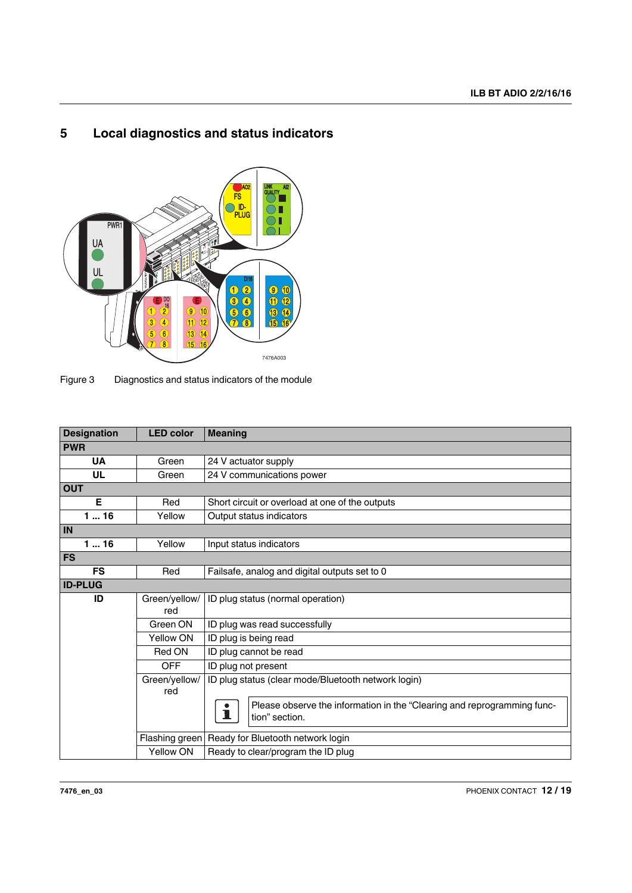## <span id="page-11-0"></span>**5 Local diagnostics and status indicators**



Figure 3 Diagnostics and status indicators of the module

| <b>Designation</b> | <b>LED color</b>     | <b>Meaning</b>                                                                                 |
|--------------------|----------------------|------------------------------------------------------------------------------------------------|
| <b>PWR</b>         |                      |                                                                                                |
| <b>UA</b>          | Green                | 24 V actuator supply                                                                           |
| <b>UL</b>          | Green                | 24 V communications power                                                                      |
| <b>OUT</b>         |                      |                                                                                                |
| Е                  | Red                  | Short circuit or overload at one of the outputs                                                |
| 116                | Yellow               | Output status indicators                                                                       |
| IN                 |                      |                                                                                                |
| 116                | Yellow               | Input status indicators                                                                        |
| <b>FS</b>          |                      |                                                                                                |
| <b>FS</b>          | Red                  | Failsafe, analog and digital outputs set to 0                                                  |
| <b>ID-PLUG</b>     |                      |                                                                                                |
| ID                 | Green/yellow/<br>red | ID plug status (normal operation)                                                              |
|                    | Green ON             | ID plug was read successfully                                                                  |
|                    | Yellow ON            | ID plug is being read                                                                          |
|                    | Red ON               | ID plug cannot be read                                                                         |
|                    | <b>OFF</b>           | ID plug not present                                                                            |
|                    | Green/yellow/<br>red | ID plug status (clear mode/Bluetooth network login)                                            |
|                    |                      | Please observe the information in the "Clearing and reprogramming func-<br>ı<br>tion" section. |
|                    |                      | Flashing green   Ready for Bluetooth network login                                             |
|                    | Yellow ON            | Ready to clear/program the ID plug                                                             |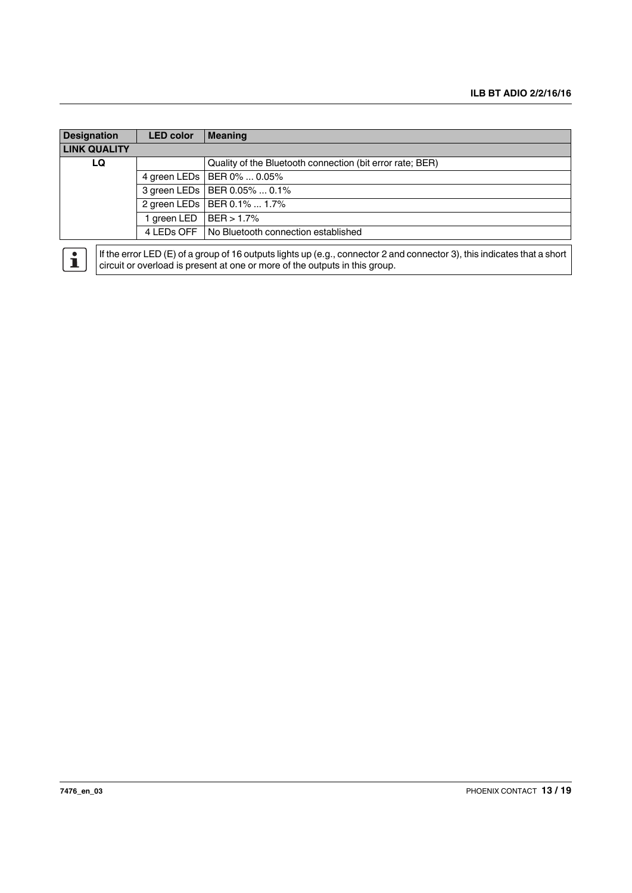| <b>Designation</b>  | <b>LED color</b> | Meaning                                                   |
|---------------------|------------------|-----------------------------------------------------------|
| <b>LINK QUALITY</b> |                  |                                                           |
| LQ                  |                  | Quality of the Bluetooth connection (bit error rate; BER) |
|                     |                  | 4 green LEDs   BER 0%  0.05%                              |
|                     |                  | 3 green LEDs   BER 0.05%  0.1%                            |
|                     |                  | 2 green LEDs   BER 0.1%  1.7%                             |
|                     | l green LED      | BER > 1.7%                                                |
|                     |                  | 4 LEDs OFF No Bluetooth connection established            |
|                     |                  |                                                           |

If the error LED (E) of a group of 16 outputs lights up (e.g., connector 2 and connector 3), this indicates that a short  $\mathbf{i}$ circuit or overload is present at one or more of the outputs in this group.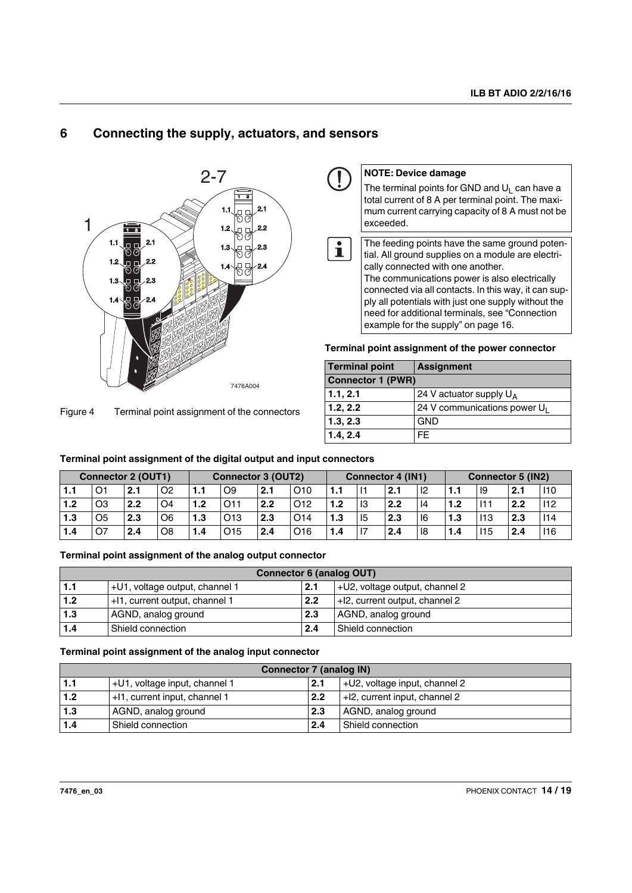## <span id="page-13-0"></span>**6 Connecting the supply, actuators, and sensors**



Figure 4 Terminal point assignment of the connectors

| <b>NOTE: Device damage</b>                                                                                                                                              |
|-------------------------------------------------------------------------------------------------------------------------------------------------------------------------|
| The terminal points for GND and $U_1$ can have a<br>total current of 8 A per terminal point. The maxi-<br>mum current carrying capacity of 8 A must not be<br>exceeded. |
|                                                                                                                                                                         |
| The feeding points have the same ground poten-<br>tial. All ground supplies on a module are electri-<br>cally connected with one another.                               |
| The communications power is also electrically                                                                                                                           |
| connected via all contacts. In this way, it can sup-                                                                                                                    |
| ply all potentials with just one supply without the                                                                                                                     |
| need for additional terminals, see "Connection<br>example for the supply" on page 16.                                                                                   |
|                                                                                                                                                                         |

**Terminal point assignment of the power connector**

| <b>Terminal point</b>    | <b>Assignment</b>               |  |  |  |  |  |
|--------------------------|---------------------------------|--|--|--|--|--|
| <b>Connector 1 (PWR)</b> |                                 |  |  |  |  |  |
| 1.1, 2.1                 | 24 V actuator supply $U_A$      |  |  |  |  |  |
| 1.2, 2.2                 | 24 V communications power $U_1$ |  |  |  |  |  |
| 1.3, 2.3                 | <b>GND</b>                      |  |  |  |  |  |
| 1.4, 2.4                 | FF.                             |  |  |  |  |  |

| <b>Connector 2 (OUT1)</b> |                |     | <b>Connector 3 (OUT2)</b> |     |                 | Connector 4 (IN1) |                 |     |      | <b>Connector 5 (IN2)</b> |    |     |      |     |     |
|---------------------------|----------------|-----|---------------------------|-----|-----------------|-------------------|-----------------|-----|------|--------------------------|----|-----|------|-----|-----|
| 1.1                       | O1             | 2.1 | O <sub>2</sub>            | 1.1 | O9              | 2.1               | O10             | 1.1 |      | 2.1                      | 12 | . . | - 19 | 2.1 | 110 |
| 1.2                       | O <sub>3</sub> | 2.2 | O4                        | 1.2 |                 | 2.2               | O <sub>12</sub> | 1.2 | - 13 | 2.2                      | 14 | 1.2 | 111  | 2.2 | 112 |
| 1.3                       | O <sub>5</sub> | 2.3 | O <sub>6</sub>            | 1.3 | O <sub>13</sub> | 2.3               | O <sub>14</sub> | 1.3 | 15   | 2.3                      | 16 | 1.3 | 113  | 2.3 | 14  |
| 1.4                       | <b>O7</b>      | 2.4 | O <sub>8</sub>            | 1.4 | 015             | 2.4               | O <sub>16</sub> | 1.4 | - 17 | 2.4                      | 18 | 1.4 | 115  | 2.4 | 116 |

**Terminal point assignment of the digital output and input connectors**

### **Terminal point assignment of the analog output connector**

|     | <b>Connector 6 (analog OUT)</b> |     |                                |  |  |  |  |  |  |  |  |  |
|-----|---------------------------------|-----|--------------------------------|--|--|--|--|--|--|--|--|--|
| 1.1 | +U1, voltage output, channel 1  | 2.1 | +U2, voltage output, channel 2 |  |  |  |  |  |  |  |  |  |
| 1.2 | +11, current output, channel 1  | 2.2 | +12, current output, channel 2 |  |  |  |  |  |  |  |  |  |
| 1.3 | AGND, analog ground             | 2.3 | AGND, analog ground            |  |  |  |  |  |  |  |  |  |
| 1.4 | Shield connection               | 2.4 | Shield connection              |  |  |  |  |  |  |  |  |  |

#### **Terminal point assignment of the analog input connector**

|       | <b>Connector 7 (analog IN)</b> |     |                                  |  |  |  |  |  |  |  |  |  |
|-------|--------------------------------|-----|----------------------------------|--|--|--|--|--|--|--|--|--|
| 1.1   | +U1, voltage input, channel 1  | 2.1 | $+U2$ , voltage input, channel 2 |  |  |  |  |  |  |  |  |  |
| 1.2   | +11, current input, channel 1  | 2.2 | $+12$ , current input, channel 2 |  |  |  |  |  |  |  |  |  |
| 1.3   | AGND, analog ground            | 2.3 | AGND, analog ground              |  |  |  |  |  |  |  |  |  |
| $1.4$ | I Shield connection            | 2.4 | Shield connection                |  |  |  |  |  |  |  |  |  |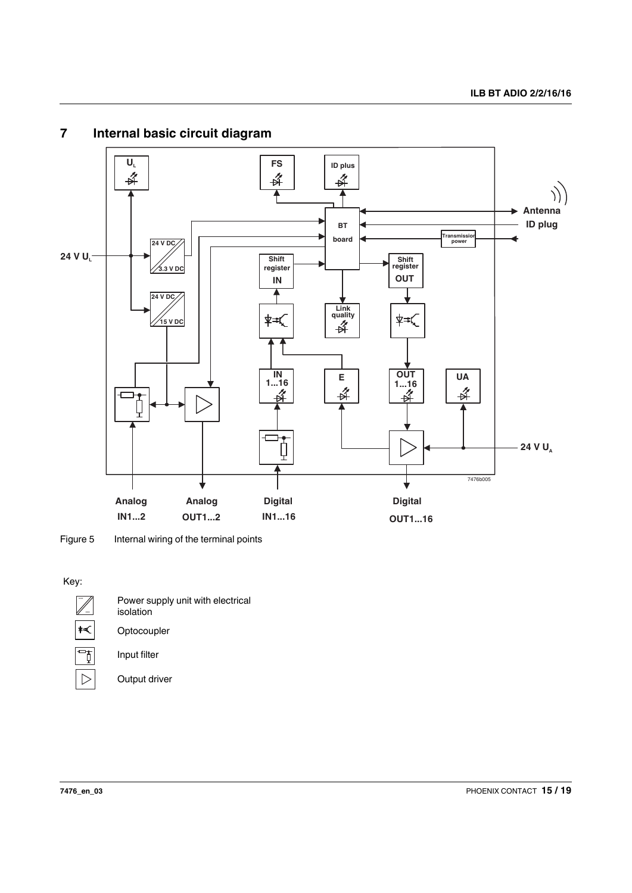

## <span id="page-14-0"></span>**7 Internal basic circuit diagram**

Figure 5 Internal wiring of the terminal points

### Key:



 $\overline{\triangleright}$ 

Power supply unit with electrical isolation **Optocoupler** Input filter

Output driver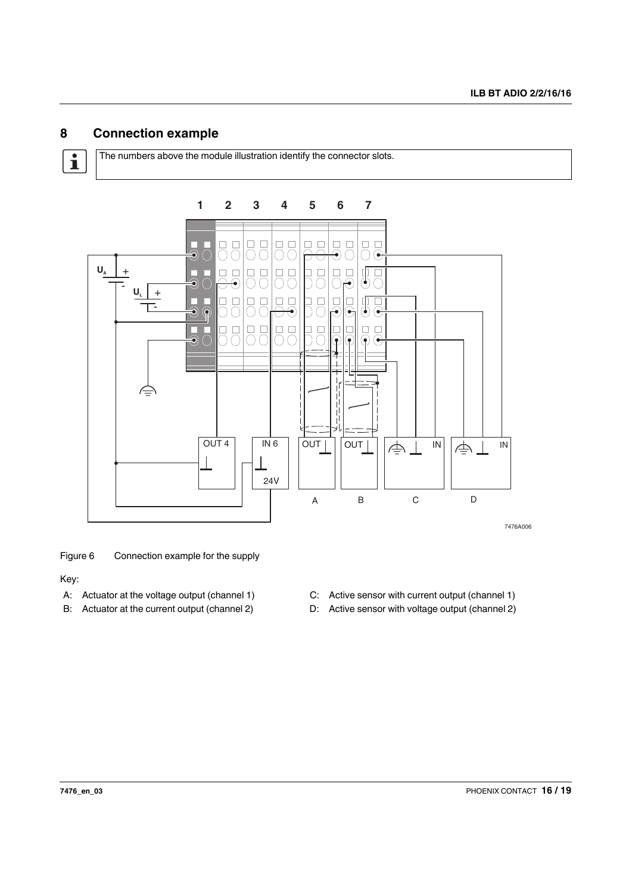## <span id="page-15-0"></span>**8 Connection example**

 $\overline{\mathbf{i}}$ 

The numbers above the module illustration identify the connector slots.



Figure 6 Connection example for the supply

Key:

- A: Actuator at the voltage output (channel 1) C: Active sensor with current output (channel 1)
- 
- 
- B: Actuator at the current output (channel 2) D: Active sensor with voltage output (channel 2)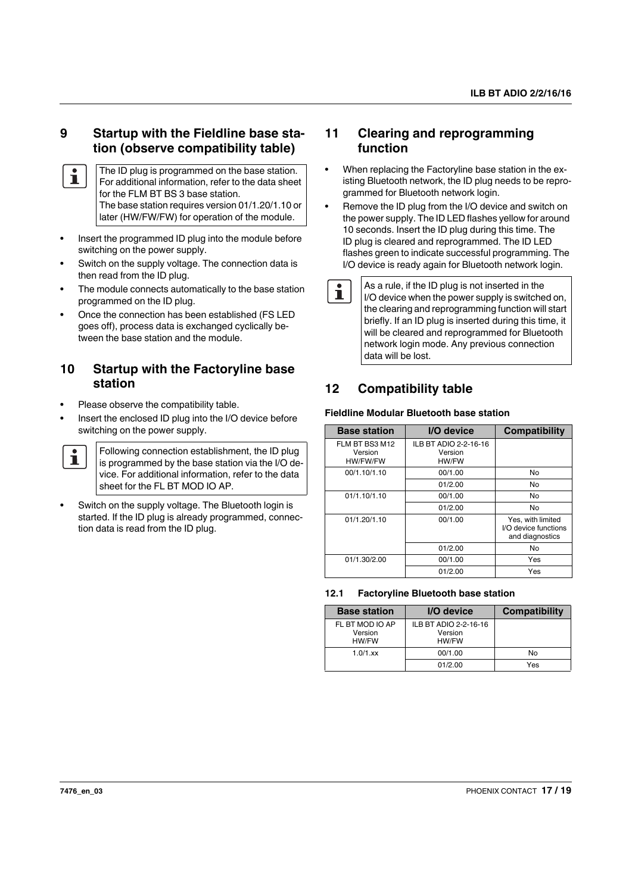### **9 Startup with the Fieldline base station (observe compatibility table)**

- The ID plug is programmed on the base station. Ť For additional information, refer to the data sheet for the FLM BT BS 3 base station. The base station requires version 01/1.20/1.10 or later (HW/FW/FW) for operation of the module.
- **•** Insert the programmed ID plug into the module before switching on the power supply.
- **•** Switch on the supply voltage. The connection data is then read from the ID plug.
- **•** The module connects automatically to the base station programmed on the ID plug.
- **•** Once the connection has been established (FS LED goes off), process data is exchanged cyclically between the base station and the module.

### <span id="page-16-0"></span>**10 Startup with the Factoryline base station**

- **•** Please observe the compatibility table.
- **•** Insert the enclosed ID plug into the I/O device before switching on the power supply.

 $\mathbf{i}$ 

Following connection establishment, the ID plug is programmed by the base station via the I/O device. For additional information, refer to the data sheet for the FL BT MOD IO AP.

**•** Switch on the supply voltage. The Bluetooth login is started. If the ID plug is already programmed, connection data is read from the ID plug.

### **11 Clearing and reprogramming function**

- **•** When replacing the Factoryline base station in the existing Bluetooth network, the ID plug needs to be reprogrammed for Bluetooth network login.
- **•** Remove the ID plug from the I/O device and switch on the power supply. The ID LED flashes yellow for around 10 seconds. Insert the ID plug during this time. The ID plug is cleared and reprogrammed. The ID LED flashes green to indicate successful programming. The I/O device is ready again for Bluetooth network login.
- $\mathbf{i}$

As a rule, if the ID plug is not inserted in the I/O device when the power supply is switched on, the clearing and reprogramming function will start briefly. If an ID plug is inserted during this time, it will be cleared and reprogrammed for Bluetooth network login mode. Any previous connection data will be lost.

## <span id="page-16-1"></span>**12 Compatibility table**

### **Fieldline Modular Bluetooth base station**

| <b>Base station</b>                   | I/O device                                | <b>Compatibility</b>                                         |
|---------------------------------------|-------------------------------------------|--------------------------------------------------------------|
| FLM BT BS3 M12<br>Version<br>HW/FW/FW | ILB BT ADIO 2-2-16-16<br>Version<br>HW/FW |                                                              |
| 00/1.10/1.10                          | 00/1.00                                   | No                                                           |
|                                       | 01/2.00                                   | No                                                           |
| 01/1.10/1.10                          | 00/1.00                                   | No                                                           |
|                                       | 01/2.00                                   | No                                                           |
| 01/1.20/1.10                          | 00/1.00                                   | Yes, with limited<br>I/O device functions<br>and diagnostics |
|                                       | 01/2.00                                   | No                                                           |
| 01/1.30/2.00                          | 00/1.00                                   | Yes                                                          |
|                                       | 01/2.00                                   | Yes                                                          |

### <span id="page-16-2"></span>**12.1 Factoryline Bluetooth base station**

| <b>Base station</b>                 | I/O device                                | <b>Compatibility</b> |
|-------------------------------------|-------------------------------------------|----------------------|
| FL BT MOD IO AP<br>Version<br>HW/FW | ILB BT ADIO 2-2-16-16<br>Version<br>HW/FW |                      |
| $1.0/1$ .xx                         | 00/1.00                                   | No                   |
|                                     | 01/2.00                                   | Yes                  |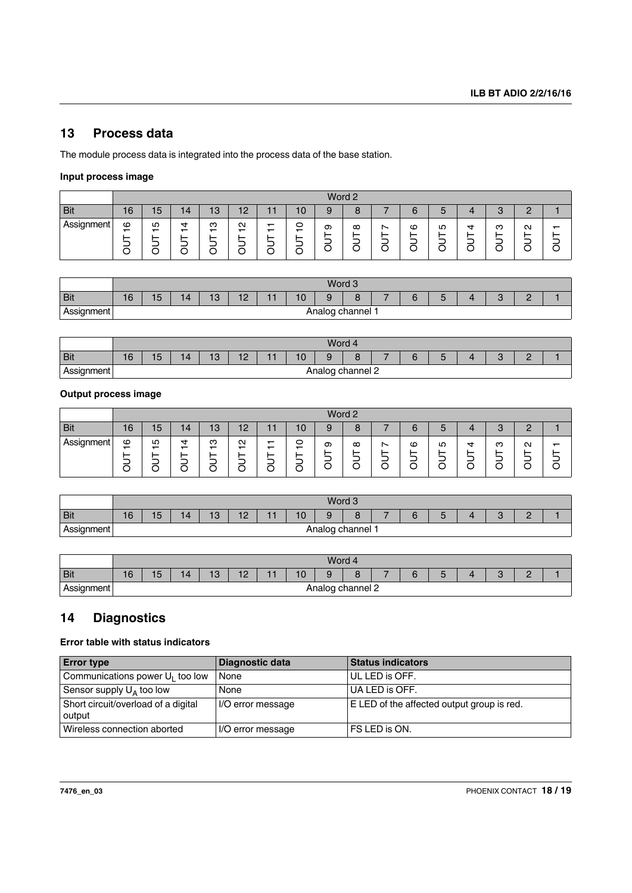## <span id="page-17-0"></span>**13 Process data**

The module process data is integrated into the process data of the base station.

### **Input process image**

|            |                                    | Word 2                                       |                                    |                                         |                                                                   |                                         |                                         |   |               |        |             |               |                  |                  |                        |   |
|------------|------------------------------------|----------------------------------------------|------------------------------------|-----------------------------------------|-------------------------------------------------------------------|-----------------------------------------|-----------------------------------------|---|---------------|--------|-------------|---------------|------------------|------------------|------------------------|---|
| <b>Bit</b> | 16                                 | 15                                           | 14                                 | 13                                      | 12                                                                |                                         | 10                                      |   | O             |        | $\sim$<br>6 | 5             |                  | 3                | r<br><u>.</u>          |   |
| Assignment | ဖ<br>$\overline{\phantom{0}}$<br>◡ | Ю<br>$\overline{\phantom{0}}$<br>_<br>-<br>U | ₹<br>$\overline{\phantom{0}}$<br>◡ | ო<br>$\overline{\phantom{0}}$<br>–<br>с | $\mathbf{\Omega}$<br>$\overline{\phantom{0}}$<br>–<br>–<br>╭<br>ັ | $\overline{\phantom{0}}$<br>-<br>-<br>∽ | 0<br>$\overline{\phantom{0}}$<br>_<br>U | တ | $\infty$<br>- | ∼<br>- | ဖ<br>–<br>◡ | LO<br>-<br>ل. | ₹<br>_<br>–<br>O | ო<br>-<br>–<br>C | $\mathbf{\Omega}$<br>- | ᅮ |

|            |    |                                                                                      |  |  |  |  |  | Word 3 |  |  |  |  |  |  |  |  |
|------------|----|--------------------------------------------------------------------------------------|--|--|--|--|--|--------|--|--|--|--|--|--|--|--|
| <b>Bit</b> | 16 | 15<br>10<br>10<br>$\overline{10}$<br>14<br>⌒<br>Δ<br>. .<br>IJ<br>╹<br>ັ<br>. .<br>- |  |  |  |  |  |        |  |  |  |  |  |  |  |  |
| Assignment |    | g channel<br>Analog<br>ັ                                                             |  |  |  |  |  |        |  |  |  |  |  |  |  |  |

|            |    |                                                                          |  |  |  |  |  | Word 4 |  |  |  |  |  |  |  |  |
|------------|----|--------------------------------------------------------------------------|--|--|--|--|--|--------|--|--|--|--|--|--|--|--|
| <b>Bit</b> | 16 | 15<br>14<br>10<br>$\overline{10}$<br>10<br>⌒<br>∽<br>ືບ<br>ັ<br>1 C<br>- |  |  |  |  |  |        |  |  |  |  |  |  |  |  |
| Assignment |    | channel 2<br>Analog<br>ັ                                                 |  |  |  |  |  |        |  |  |  |  |  |  |  |  |

### **Output process image**

|            |                               | Word 2                                       |                                         |                                    |                                                                   |                                                           |             |   |          |             |                  |              |                  |                  |                             |          |
|------------|-------------------------------|----------------------------------------------|-----------------------------------------|------------------------------------|-------------------------------------------------------------------|-----------------------------------------------------------|-------------|---|----------|-------------|------------------|--------------|------------------|------------------|-----------------------------|----------|
| <b>Bit</b> | 16                            | 15                                           | 14                                      | 13                                 | 12<br>. .                                                         |                                                           | ١O          |   | O        |             | $\sim$<br>6      | 5            |                  | 3                | r<br><u>.</u>               |          |
| Assignment | ဖ<br>$\overline{\phantom{0}}$ | Ю<br>$\overline{\phantom{0}}$<br>-<br>-<br>ب | 4<br>$\overline{\phantom{0}}$<br>⌒<br>◡ | ო<br>$\overline{\phantom{0}}$<br>С | $\mathbf{\Omega}$<br>$\overline{\phantom{0}}$<br>-<br>–<br>╭<br>ັ | $\overline{\phantom{0}}$<br>$\overline{\phantom{0}}$<br>- | 0<br>–<br>◡ | თ | $\infty$ | ∼<br>-<br>◡ | ဖ<br>_<br>-<br>◡ | LO<br>-<br>О | ෑ<br>_<br>-<br>с | ო<br>∽<br>–<br>C | $\mathbf{\Omega}$<br>─<br>⌒ | $\bar{}$ |

|            |    |                |    |                        |    |  |    | Word 3 |  |  |   |  |   |  |
|------------|----|----------------|----|------------------------|----|--|----|--------|--|--|---|--|---|--|
| <b>Bit</b> | 16 | 15             | 14 | $\overline{10}$<br>ن ا | 10 |  | 10 | Q      |  |  | u |  | - |  |
| Assignment |    | Analog channel |    |                        |    |  |    |        |  |  |   |  |   |  |

|                    |    |                                                                 |  |  |  |  |  | Word 4 |  |  |  |  |  |  |  |  |
|--------------------|----|-----------------------------------------------------------------|--|--|--|--|--|--------|--|--|--|--|--|--|--|--|
| <b>Bit</b>         | 16 | 15<br>12<br>10<br>13<br>14<br>$\sim$<br>∽<br>u<br>w<br>. .<br>۔ |  |  |  |  |  |        |  |  |  |  |  |  |  |  |
| Assignment<br>-- ອ |    | า channel 2<br>Analog<br>- 11                                   |  |  |  |  |  |        |  |  |  |  |  |  |  |  |

### <span id="page-17-1"></span>**14 Diagnostics**

### **Error table with status indicators**

| <b>Error type</b>                             | Diagnostic data   | <b>Status indicators</b>                   |
|-----------------------------------------------|-------------------|--------------------------------------------|
| Communications power $U_1$ too low            | None              | UL LED is OFF.                             |
| Sensor supply $U_A$ too low                   | None              | UA LED is OFF.                             |
| Short circuit/overload of a digital<br>output | I/O error message | E LED of the affected output group is red. |
| Wireless connection aborted                   | I/O error message | FS LED is ON.                              |